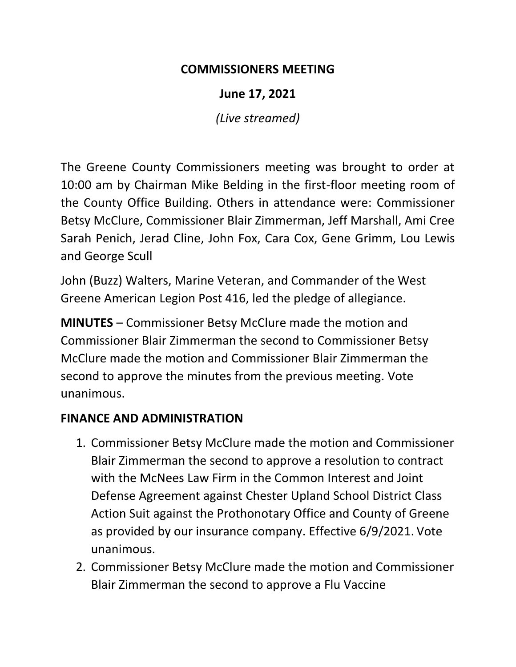### **COMMISSIONERS MEETING**

**June 17, 2021**

*(Live streamed)*

The Greene County Commissioners meeting was brought to order at 10:00 am by Chairman Mike Belding in the first-floor meeting room of the County Office Building. Others in attendance were: Commissioner Betsy McClure, Commissioner Blair Zimmerman, Jeff Marshall, Ami Cree Sarah Penich, Jerad Cline, John Fox, Cara Cox, Gene Grimm, Lou Lewis and George Scull

John (Buzz) Walters, Marine Veteran, and Commander of the West Greene American Legion Post 416, led the pledge of allegiance.

**MINUTES** – Commissioner Betsy McClure made the motion and Commissioner Blair Zimmerman the second to Commissioner Betsy McClure made the motion and Commissioner Blair Zimmerman the second to approve the minutes from the previous meeting. Vote unanimous.

### **FINANCE AND ADMINISTRATION**

- 1. Commissioner Betsy McClure made the motion and Commissioner Blair Zimmerman the second to approve a resolution to contract with the McNees Law Firm in the Common Interest and Joint Defense Agreement against Chester Upland School District Class Action Suit against the Prothonotary Office and County of Greene as provided by our insurance company. Effective 6/9/2021. Vote unanimous.
- 2. Commissioner Betsy McClure made the motion and Commissioner Blair Zimmerman the second to approve a Flu Vaccine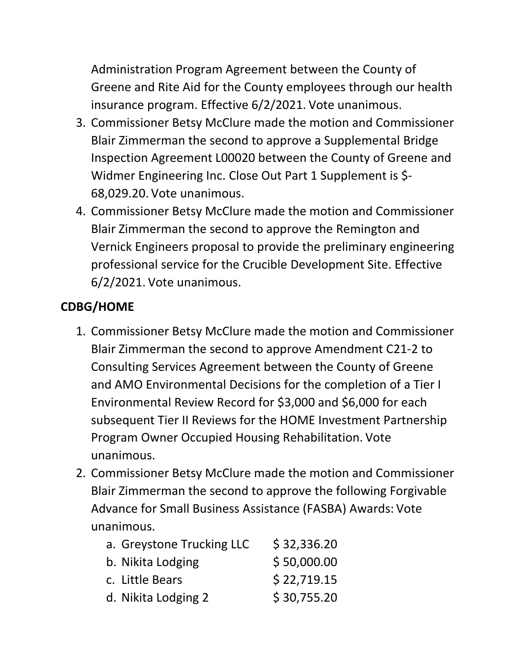Administration Program Agreement between the County of Greene and Rite Aid for the County employees through our health insurance program. Effective 6/2/2021. Vote unanimous.

- 3. Commissioner Betsy McClure made the motion and Commissioner Blair Zimmerman the second to approve a Supplemental Bridge Inspection Agreement L00020 between the County of Greene and Widmer Engineering Inc. Close Out Part 1 Supplement is \$- 68,029.20. Vote unanimous.
- 4. Commissioner Betsy McClure made the motion and Commissioner Blair Zimmerman the second to approve the Remington and Vernick Engineers proposal to provide the preliminary engineering professional service for the Crucible Development Site. Effective 6/2/2021. Vote unanimous.

# **CDBG/HOME**

- 1. Commissioner Betsy McClure made the motion and Commissioner Blair Zimmerman the second to approve Amendment C21-2 to Consulting Services Agreement between the County of Greene and AMO Environmental Decisions for the completion of a Tier I Environmental Review Record for \$3,000 and \$6,000 for each subsequent Tier II Reviews for the HOME Investment Partnership Program Owner Occupied Housing Rehabilitation. Vote unanimous.
- 2. Commissioner Betsy McClure made the motion and Commissioner Blair Zimmerman the second to approve the following Forgivable Advance for Small Business Assistance (FASBA) Awards: Vote unanimous.

| a. Greystone Trucking LLC | \$32,336.20 |
|---------------------------|-------------|
| b. Nikita Lodging         | \$50,000.00 |
| c. Little Bears           | \$22,719.15 |
| d. Nikita Lodging 2       | \$30,755.20 |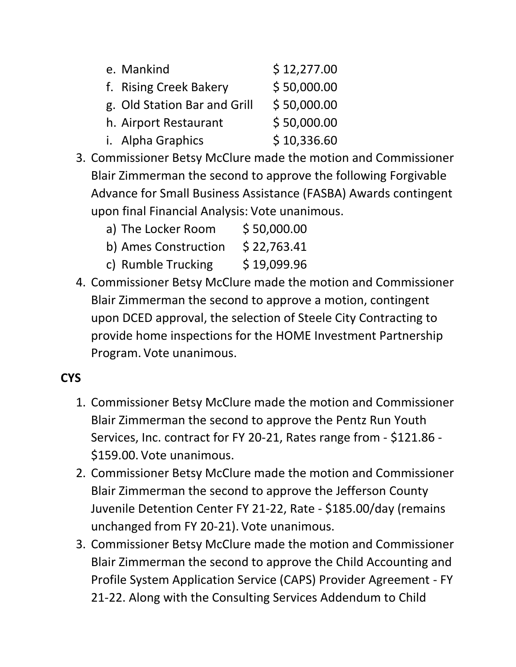| e. Mankind                   | \$12,277.00 |
|------------------------------|-------------|
| f. Rising Creek Bakery       | \$50,000.00 |
| g. Old Station Bar and Grill | \$50,000.00 |
| h. Airport Restaurant        | \$50,000.00 |
| i. Alpha Graphics            | \$10,336.60 |

- 3. Commissioner Betsy McClure made the motion and Commissioner Blair Zimmerman the second to approve the following Forgivable Advance for Small Business Assistance (FASBA) Awards contingent upon final Financial Analysis: Vote unanimous.
	- a) The Locker Room \$ 50,000.00
	- b) Ames Construction  $$22,763.41$
	- c) Rumble Trucking  $\frac{1}{2}$  \$ 19,099.96
- 4. Commissioner Betsy McClure made the motion and Commissioner Blair Zimmerman the second to approve a motion, contingent upon DCED approval, the selection of Steele City Contracting to provide home inspections for the HOME Investment Partnership Program. Vote unanimous.

# **CYS**

- 1. Commissioner Betsy McClure made the motion and Commissioner Blair Zimmerman the second to approve the Pentz Run Youth Services, Inc. contract for FY 20-21, Rates range from - \$121.86 - \$159.00. Vote unanimous.
- 2. Commissioner Betsy McClure made the motion and Commissioner Blair Zimmerman the second to approve the Jefferson County Juvenile Detention Center FY 21-22, Rate - \$185.00/day (remains unchanged from FY 20-21). Vote unanimous.
- 3. Commissioner Betsy McClure made the motion and Commissioner Blair Zimmerman the second to approve the Child Accounting and Profile System Application Service (CAPS) Provider Agreement - FY 21-22. Along with the Consulting Services Addendum to Child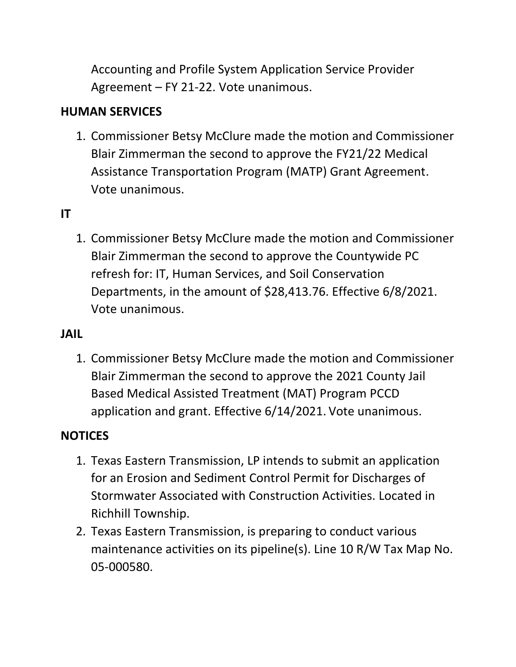Accounting and Profile System Application Service Provider Agreement – FY 21-22. Vote unanimous.

## **HUMAN SERVICES**

1. Commissioner Betsy McClure made the motion and Commissioner Blair Zimmerman the second to approve the FY21/22 Medical Assistance Transportation Program (MATP) Grant Agreement. Vote unanimous.

### **IT**

1. Commissioner Betsy McClure made the motion and Commissioner Blair Zimmerman the second to approve the Countywide PC refresh for: IT, Human Services, and Soil Conservation Departments, in the amount of \$28,413.76. Effective 6/8/2021. Vote unanimous.

#### **JAIL**

1. Commissioner Betsy McClure made the motion and Commissioner Blair Zimmerman the second to approve the 2021 County Jail Based Medical Assisted Treatment (MAT) Program PCCD application and grant. Effective 6/14/2021. Vote unanimous.

#### **NOTICES**

- 1. Texas Eastern Transmission, LP intends to submit an application for an Erosion and Sediment Control Permit for Discharges of Stormwater Associated with Construction Activities. Located in Richhill Township.
- 2. Texas Eastern Transmission, is preparing to conduct various maintenance activities on its pipeline(s). Line 10 R/W Tax Map No. 05-000580.